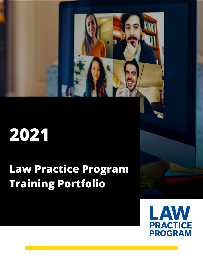# **2021**

# **Law Practice Program Training Portfolio**

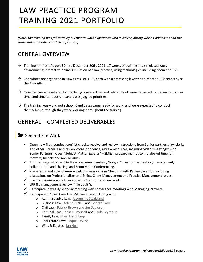# LAW PRACTICE PROGRAM TRAINING 2021 PORTFOLIO

*(Note: the training was followed by a 4 month work experience with a lawyer, during which Candidates had the same status as with an articling position)*

# GENERAL OVERVIEW

- $\rightarrow$  Training ran from August 30th to December 20th, 2021; 17 weeks of training in a simulated work environment; interactive online simulation of a law practice, using technologies including Zoom and D2L.
- $\rightarrow$  Candidates are organized in "law firms" of 3 6, each with a practicing lawyer as a Mentor (2 Mentors over the 4 months).
- $\rightarrow$  Case files were developed by practicing lawyers. Files and related work were delivered to the law firms over time, and simultaneously – candidates juggled priorities.
- $\rightarrow$  The training was work, not school. Candidates came ready for work, and were expected to conduct themselves as though they were working, throughout the training.

# GENERAL – COMPLETED DELIVERABLES

#### General File Work

- $\checkmark$  Open new files; conduct conflict checks; receive and review instructions from Senior partners, law clerks and others; receive and review correspondence; review resources, including video "meetings" with Senior Partners (ie our "Subject Matter Experts" – SMEs); prepare memos to file; docket time (all matters, billable and non-billable).
- $\checkmark$  Firms engage with the Clio file management system, Google Drives for file creation/management/ collaboration and sharing, and Zoom Video Conferencing.
- $\checkmark$  Prepare for and attend weekly web conference Firm Meetings with Partner/Mentor, including discussions on Professionalism and Ethics, Client Management and Practice Management issues.
- $\checkmark$  File discussions among Firm and with Mentor to review work.
- $\checkmark$  LPP file management review ("file audit").
- $\checkmark$  Participate in weekly Monday morning web conference meetings with Managing Partners.
- $\checkmark$  Participate in "live" Case File SME webinars including with:
	- o Administrative Law: [Jacqueline Swaisland](https://landingslaw.com/toronto-immigration-lawyers/jacqueline-swaisland/)
	- o Business Law: [Arlene O'Neill](https://www.grllp.com/profile/arleneoneill) and [George Tory](https://www.grllp.com/profile/georgetory)
	- o Civil Law: [Patrick Brown](https://www.mcleishorlando.com/lawyers/patrick-brown/) an[d Jim Davidson](https://www.willdavidson.ca/team/jim-davidson/)
	- o Criminal Law[: Robin Flumerfelt](https://www.osgoode.yorku.ca/faculty-and-staff/flumerfelt-robin/) and [Paula Seymour](https://roots-of-law.com/firm/paula-seymour/)
	- o Family Law: [Sheri Hirschberg](https://www.shfamilylaw.ca/about-us)
	- o Real Estate Law: [Raquel Levine](https://www.wolfson.ca/lawyers/raquel-levine)
	- o Wills & Estates: [Ian Hull](https://hullandhull.com/lawyer/ian-m-hull/)

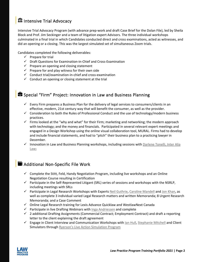# Intensive Trial Advocacy

Intensive Trial Advocacy Program (with advance prep-work and draft Case Brief for the Dolan File), led by Sheila Block and Prof. Jim Seckinger and a team of litigation expert Advisors. The three individual workshops culminated in a final trial in which Candidates conducted direct and cross examinations, acted as witnesses, and did an opening or a closing. This was the largest simulated set of simultaneous Zoom trials.

Candidates completed the following deliverables:

- $\checkmark$  Prepare for trial
- $\checkmark$  Draft Questions for Examination-in-Chief and Cross-Examination
- $\checkmark$  Prepare an opening and closing statement
- $\checkmark$  Prepare for and play witness for their own side
- $\checkmark$  Conduct trial/examination-in-chief and cross-examination
- $\checkmark$  Conduct an opening or closing statement at the trial

# Special "Firm" Project: Innovation in Law and Business Planning

- $\checkmark$  Every Firm prepares a Business Plan for the delivery of legal services to consumers/clients in an effective, modern, 21st century way that will benefit the consumer, as well as the provider.
- $\checkmark$  Consideration to both the Rules of Professional Conduct and the use of technology/modern business practices.
- $\checkmark$  Firms looked at the "why and what" for their Firm; marketing and networking; the modern approach with technology; and the money and financials. Participated in several relevant expert meetings and engaged in a Design Workshop using the online visual collaboration tool, MURAL. Firms had to develop and include financial statements, and had to "pitch" their business plan to a practicing lawyer in December.
- $\checkmark$  Innovation in Law and Business Planning workshops, including sessions with Darlene Tonelli, Inter Alia [Law;](https://www.interalia-law.com/team/)

#### **B** Additional Non-Specific File Work

- $\checkmark$  Complete the Stitt, Feld, Handy Negotiation Program, including live workshops and an Online Negotiation Course resulting in Certification
- $\checkmark$  Participate in the Self-Represented Litigant (SRL) series of sessions and workshops with the NSRLP, including meetings with SRLs
- $\checkmark$  Participate in Legal Research Workshops with Experts [Neil Guthrie,](https://www.airdberlis.com/people/bio/neil-guthrie) [Caroline Mandell](https://www.mandellcoaching.com/) an[d Jon Khan,](https://www.deliberatelegaldesign.com/whos-doing-this-research) as well as complete 3 individual varied Legal Research matters and written Memoranda; 8 Urgent Research Memoranda; and a Case Comment
- $\checkmark$  Online Legal Research training for Lexis Advance Quicklaw and WestlawNext Canada
- $\checkmark$  Participate in live Drafting Webinars with [Inga Andriessen](https://andriessen.ca/our-team/) and complete
- $\checkmark$  2 additional Drafting Assignments (Commercial Contract; Employment Contract) and draft a reporting letter to the client explaining the draft agreement
- $\checkmark$  Engage in Client Interview and Communication Workshops wit[h Ian Hull,](https://hullandhull.com/lawyer/ian-m-hull/) [Stephanie Mitchell](https://www.stephaniecmitchell.com/) and Client Simulators through [Ryerson's Live Action Simulation Program](https://www.ryerson.ca/experiential-learning/live-actor-simulation/)

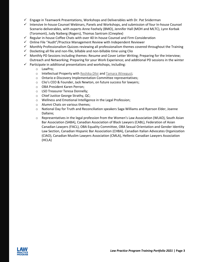- $\checkmark$  Engage in Teamwork Presentations, Workshops and Deliverables with Dr. Pat Sniderman
- $\checkmark$  Intensive In-house Counsel Webinars, Panels and Workshops, and submission of four In-house Counsel Scenario deliverables, with experts Anne Feehely (BMO), Jennifer Hall (MOH and MLTC), Lynn Korbak (Toromont), Judy Naiberg (Rogers), Thomas Santram (Cineplex)
- $\checkmark$  Regular in-house Coffee Chats with over 40 In-house Counsel and Firm Consideration
- $\checkmark$  Online File "Audit"/Practice Management Review with Independent Reviewer
- $\checkmark$  Monthly Professionalism Quizzes reviewing all professionalism themes covered throughout the Training
- $\checkmark$  Docketing all file and non-file, billable and non-billable time using Clio
- $\checkmark$  Monthly PD Sessions including themes: Resume and Cover Letter Writing; Preparing for the Interview; Outreach and Networking; Preparing for your Work Experience; and additional PD sessions in the winter
- $\checkmark$  Participate in additional presentations and workshops, including:
	- o LawPro;
	- o Intellectual Property with [Reshika Dhir](https://bereskinparr.com/people/reshika-dhir) and [Tamara Winegust;](https://www.bereskinparr.com/people/tamara-celine-winegust)
	- o Ontario e-Discovery Implementation Committee representatives;
	- o Clio's CEO & Founder, Jack Newton, on future success for lawyers;
	- o OBA President Karen Perron;
	- o LSO Treasurer Teresa Donnelly;
	- o Chief Justice George Strathy, QC;
	- o Wellness and Emotional Intelligence in the Legal Profession;
	- o Alumni Chats on various themes;
	- o National Day for Truth and Reconciliation speakers Saga Williams and Ryerson Elder, Joanne Dallaire;
	- o Representatives in the legal profession from the Women's Law Association (WLAO), South Asian Bar Association (SABA), Canadian Association of Black Lawyers (CABL), Federation of Asian Canadian Lawyers (FACL), OBA Equality Committee, OBA Sexual Orientation and Gender Identity Law Section, Canadian Hispanic Bar Association (CHBA), Canadian Italian Advocates Organization (CIAO), Canadian Muslim Lawyers Association (CMLA), Hellenic Canadian Lawyers Association (HCLA)

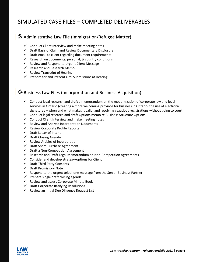# SIMULATED CASE FILES – COMPLETED DELIVERABLES

# Administrative Law File (Immigration/Refugee Matter)

- $\checkmark$  Conduct Client Interview and make meeting notes
- $\checkmark$  Draft Basis of Claim and Review Documentary Disclosure
- $\checkmark$  Draft email to client regarding document requirements
- $\checkmark$  Research on documents, personal, & country conditions
- $\checkmark$  Review and Respond to Urgent Client Message
- $\checkmark$  Research and Research Memo
- $\checkmark$  Review Transcript of Hearing
- $\checkmark$  Prepare for and Present Oral Submissions at Hearing

# Business Law Files (Incorporation and Business Acquisition)

- $\checkmark$  Conduct legal research and draft a memorandum on the modernization of corporate law and legal services in Ontario (creating a more welcoming province for business in Ontario, the use of electronic signatures – when and what makes it valid, and resolving vexatious registrations without going to court)
- $\checkmark$  Conduct legal research and draft Options memo re Business Structure Options
- $\checkmark$  Conduct Client Interview and make meeting notes
- $\checkmark$  Review and Analyse Incorporation Documents
- $\checkmark$  Review Corporate Profile Reports
- $\checkmark$  Draft Letter of Intent
- $\checkmark$  Draft Closing Agenda
- $\checkmark$  Review Articles of Incorporation
- $\checkmark$  Draft Share Purchase Agreement
- $\checkmark$  Draft a Non-Competition Agreement
- $\checkmark$  Research and Draft Legal Memorandum on Non-Competition Agreements
- $\checkmark$  Consider and develop strategy/options for Client
- $\checkmark$  Draft Third Party Consents
- $\checkmark$  Draft Promissory Note
- $\checkmark$  Respond to the urgent telephone message from the Senior Business Partner
- $\checkmark$  Prepare single draft closing agenda
- $\checkmark$  Review and assess Corporate Minute Book
- $\checkmark$  Draft Corporate Ratifying Resolutions
- $\checkmark$  Review an Initial Due Diligence Request List

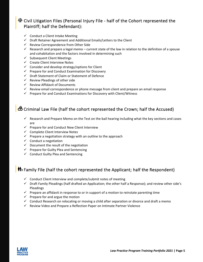### Civil Litigation Files (Personal Injury File - half of the Cohort represented the Plaintiff; half the Defendant):

- $\checkmark$  Conduct a Client Intake Meeting
- $\checkmark$  Draft Retainer Agreement and Additional Emails/Letters to the Client
- $\checkmark$  Review Correspondence from Other Side
- $\checkmark$  Research and prepare a legal memo current state of the law in relation to the definition of a spouse and cohabitation and the factors involved in determining such
- $\checkmark$  Subsequent Client Meetings
- $\checkmark$  Create Client Interview Notes
- $\checkmark$  Consider and develop strategy/options for Client
- $\checkmark$  Prepare for and Conduct Examination for Discovery
- $\checkmark$  Draft Statement of Claim or Statement of Defence
- $\checkmark$  Review Pleadings of other side
- $\checkmark$  Review Affidavit of Documents
- $\checkmark$  Review email correspondence or phone message from client and prepare an email response
- $\checkmark$  Prepare for and Conduct Examinations for Discovery with Client/Witness

# **ĈO** Criminal Law File (half the cohort represented the Crown; half the Accused)

- $\checkmark$  Research and Prepare Memo on the Test on the bail hearing including what the key sections and cases are
- $\checkmark$  Prepare for and Conduct New Client Interview
- $\checkmark$  Complete Client Interview Notes
- $\checkmark$  Prepare a negotiation strategy with an outline to the approach
- $\checkmark$  Conduct a negotiation
- $\checkmark$  Document the result of the negotiation
- $\checkmark$  Prepare for Guilty Plea and Sentencing
- $\checkmark$  Conduct Guilty Plea and Sentencing

# **I** Family File (half the cohort represented the Applicant; half the Respondent)

- $\checkmark$  Conduct Client Interview and complete/submit notes of meeting
- $\checkmark$  Draft Family Pleadings (half drafted an Application; the other half a Response); and review other side's Pleadings
- $\checkmark$  Prepare an affidavit in response to or in support of a motion to reinstate parenting time
- $\checkmark$  Prepare for and argue the motion
- $\checkmark$  Conduct Research on relocating or moving a child after separation or divorce and draft a memo
- $\checkmark$  Review Video and Prepare a Reflection Paper on Intimate Partner Violence